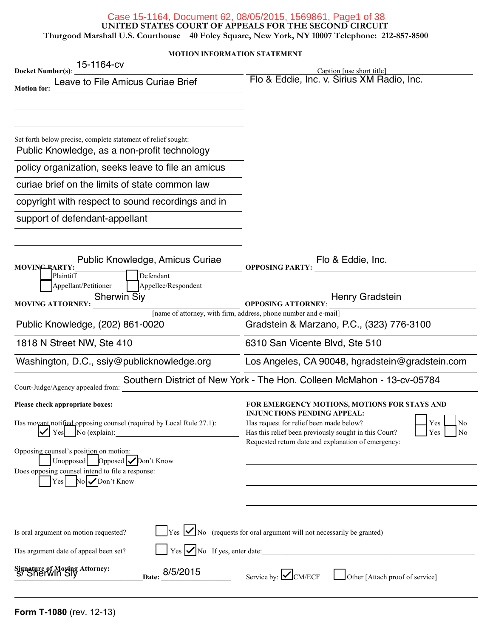#### Case 15-1164, Document 62, 08/05/2015, 1569861, Page1 of 38

**UNITED STATES COURT OF APPEALS FOR THE SECOND CIRCUIT**

**Thurgood Marshall U.S. Courthouse 40 Foley Square, New York, NY 10007 Telephone: 212-857-8500**

#### **MOTION INFORMATION STATEMENT**

| 15-1164-cv<br><b>Docket Number(s):</b>                                                                                                                                                                                                                                                                                                                                                                                                  | Caption [use short title]                                                                                                                                                                                                                                        |
|-----------------------------------------------------------------------------------------------------------------------------------------------------------------------------------------------------------------------------------------------------------------------------------------------------------------------------------------------------------------------------------------------------------------------------------------|------------------------------------------------------------------------------------------------------------------------------------------------------------------------------------------------------------------------------------------------------------------|
| Leave to File Amicus Curiae Brief<br><b>Motion for:</b>                                                                                                                                                                                                                                                                                                                                                                                 | Flo & Eddie, Inc. v. Sirius XM Radio, Inc.                                                                                                                                                                                                                       |
| Set forth below precise, complete statement of relief sought:<br>Public Knowledge, as a non-profit technology<br>policy organization, seeks leave to file an amicus<br>curiae brief on the limits of state common law<br>copyright with respect to sound recordings and in<br>support of defendant-appellant                                                                                                                            |                                                                                                                                                                                                                                                                  |
| Public Knowledge, Amicus Curiae<br>MOVING PARTY:<br>Defendant                                                                                                                                                                                                                                                                                                                                                                           | Flo & Eddie, Inc.<br><b>OPPOSING PARTY:</b>                                                                                                                                                                                                                      |
| Plaintiff<br>Appellant/Petitioner<br>Appellee/Respondent<br><b>Sherwin Siy</b><br><b>MOVING ATTORNEY:</b>                                                                                                                                                                                                                                                                                                                               | Henry Gradstein<br><b>OPPOSING ATTORNEY:</b>                                                                                                                                                                                                                     |
| Public Knowledge, (202) 861-0020                                                                                                                                                                                                                                                                                                                                                                                                        | [name of attorney, with firm, address, phone number and e-mail]<br>Gradstein & Marzano, P.C., (323) 776-3100                                                                                                                                                     |
| 1818 N Street NW, Ste 410                                                                                                                                                                                                                                                                                                                                                                                                               | 6310 San Vicente Blvd, Ste 510                                                                                                                                                                                                                                   |
| Washington, D.C., ssiy@publicknowledge.org                                                                                                                                                                                                                                                                                                                                                                                              | Los Angeles, CA 90048, hgradstein@gradstein.com                                                                                                                                                                                                                  |
| Court-Judge/Agency appealed from:                                                                                                                                                                                                                                                                                                                                                                                                       | Southern District of New York - The Hon. Colleen McMahon - 13-cv-05784                                                                                                                                                                                           |
| Please check appropriate boxes:<br>Has movant notified opposing counsel (required by Local Rule 27.1):<br>No (explain):<br>Yes<br><u> 1989 - Jan Stein Stein Stein Stein Stein Stein Stein Stein Stein Stein Stein Stein Stein Stein Stein Stein S</u><br>Opposing counsel's position on motion:<br>Unopposed Opposed $\sqrt{\frac{Dm}{t}}$ Know<br>Does opposing counsel intend to file a response:<br>Yes $\log$ No $\log$ Don't Know | FOR EMERGENCY MOTIONS, MOTIONS FOR STAYS AND<br>INJUNCTIONS PENDING APPEAL:<br>Has request for relief been made below?<br>No<br>Yes<br>Has this relief been previously sought in this Court?<br>Yes<br>No<br>Requested return date and explanation of emergency: |
| Is oral argument on motion requested?<br>Has argument date of appeal been set?<br>Signature of Moxing Attorney:<br>S/ Sherwin Siy<br>8/5/2015<br>Date:                                                                                                                                                                                                                                                                                  | $\gamma$ $\text{Yes}$ $\boxed{\smile}$ No (requests for oral argument will not necessarily be granted)<br>$Yes \nightharpoonup No$ If yes, enter date:<br>Service by: $\angle$ CM/ECF<br>Other [Attach proof of service]                                         |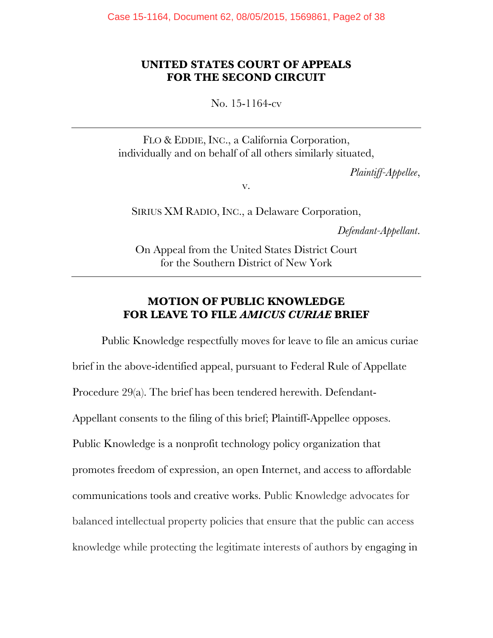## **UNITED STATES COURT OF APPEALS FOR THE SECOND CIRCUIT**

No. 15-1164-cv

FLO & EDDIE, INC., a California Corporation, individually and on behalf of all others similarly situated,

*Plaintiff-Appellee*,

v.

SIRIUS XM RADIO, INC., a Delaware Corporation,

*Defendant-Appellant*.

On Appeal from the United States District Court for the Southern District of New York

# **MOTION OF PUBLIC KNOWLEDGE FOR LEAVE TO FILE** *AMICUS CURIAE* **BRIEF**

Public Knowledge respectfully moves for leave to file an amicus curiae brief in the above-identified appeal, pursuant to Federal Rule of Appellate Procedure 29(a). The brief has been tendered herewith. Defendant-Appellant consents to the filing of this brief; Plaintiff-Appellee opposes. Public Knowledge is a nonprofit technology policy organization that promotes freedom of expression, an open Internet, and access to affordable communications tools and creative works. Public Knowledge advocates for balanced intellectual property policies that ensure that the public can access knowledge while protecting the legitimate interests of authors by engaging in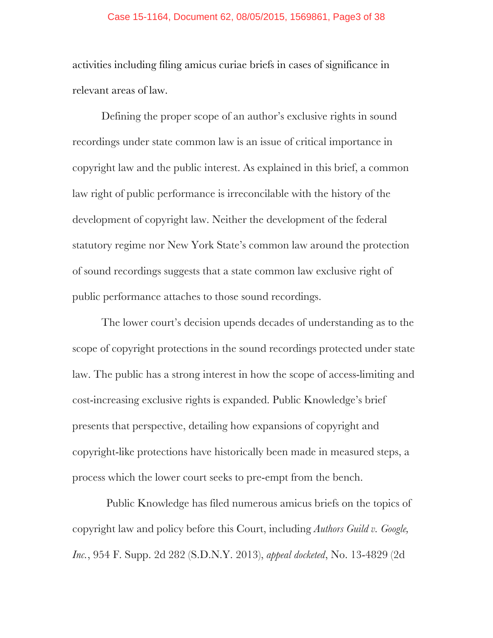#### Case 15-1164, Document 62, 08/05/2015, 1569861, Page3 of 38

activities including filing amicus curiae briefs in cases of significance in relevant areas of law.

Defining the proper scope of an author's exclusive rights in sound recordings under state common law is an issue of critical importance in copyright law and the public interest. As explained in this brief, a common law right of public performance is irreconcilable with the history of the development of copyright law. Neither the development of the federal statutory regime nor New York State's common law around the protection of sound recordings suggests that a state common law exclusive right of public performance attaches to those sound recordings.

The lower court's decision upends decades of understanding as to the scope of copyright protections in the sound recordings protected under state law. The public has a strong interest in how the scope of access-limiting and cost-increasing exclusive rights is expanded. Public Knowledge's brief presents that perspective, detailing how expansions of copyright and copyright-like protections have historically been made in measured steps, a process which the lower court seeks to pre-empt from the bench.

Public Knowledge has filed numerous amicus briefs on the topics of copyright law and policy before this Court, including *Authors Guild v. Google, Inc.*, 954 F. Supp. 2d 282 (S.D.N.Y. 2013), *appeal docketed*, No. 13-4829 (2d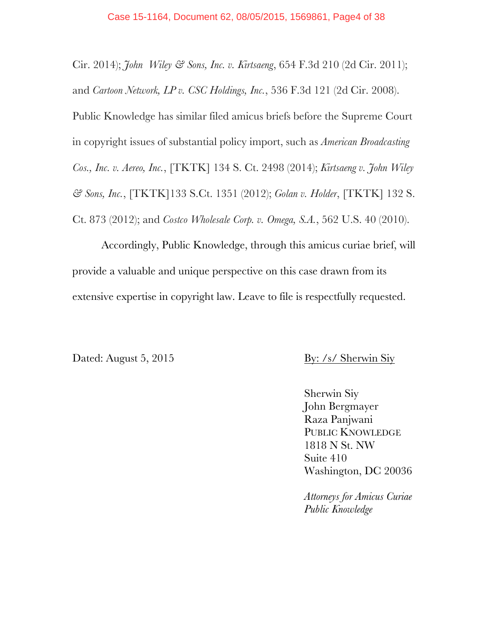Cir. 2014); *John Wiley & Sons, Inc. v. Kirtsaeng*, 654 F.3d 210 (2d Cir. 2011); and *Cartoon Network, LP v. CSC Holdings, Inc.*, 536 F.3d 121 (2d Cir. 2008). Public Knowledge has similar filed amicus briefs before the Supreme Court in copyright issues of substantial policy import, such as *American Broadcasting Cos., Inc. v. Aereo, Inc.*, [TKTK] 134 S. Ct. 2498 (2014); *Kirtsaeng v. John Wiley & Sons, Inc.*, [TKTK]133 S.Ct. 1351 (2012); *Golan v. Holder*, [TKTK] 132 S. Ct. 873 (2012); and *Costco Wholesale Corp. v. Omega, S.A.*, 562 U.S. 40 (2010).

Accordingly, Public Knowledge, through this amicus curiae brief, will provide a valuable and unique perspective on this case drawn from its extensive expertise in copyright law. Leave to file is respectfully requested.

Dated: August 5, 2015 By: /s/ Sherwin Siy

Sherwin Siy John Bergmayer Raza Panjwani PUBLIC KNOWLEDGE 1818 N St. NW Suite 410 Washington, DC 20036

*Attorneys for Amicus Curiae Public Knowledge*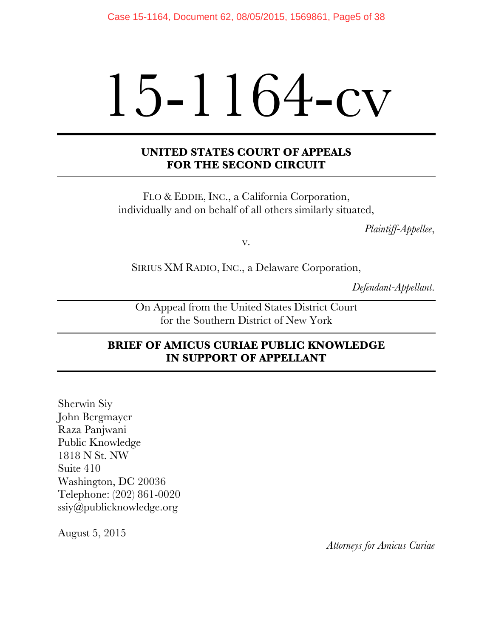# 15-1164-cv

# **UNITED STATES COURT OF APPEALS FOR THE SECOND CIRCUIT**

FLO & EDDIE, INC., a California Corporation, individually and on behalf of all others similarly situated,

*Plaintiff-Appellee*,

v.

SIRIUS XM RADIO, INC., a Delaware Corporation,

*Defendant-Appellant*.

On Appeal from the United States District Court for the Southern District of New York

# **BRIEF OF AMICUS CURIAE PUBLIC KNOWLEDGE IN SUPPORT OF APPELLANT**

Sherwin Siy John Bergmayer Raza Panjwani Public Knowledge 1818 N St. NW Suite 410 Washington, DC 20036 Telephone: (202) 861-0020 ssiy@publicknowledge.org

August 5, 2015

*Attorneys for Amicus Curiae*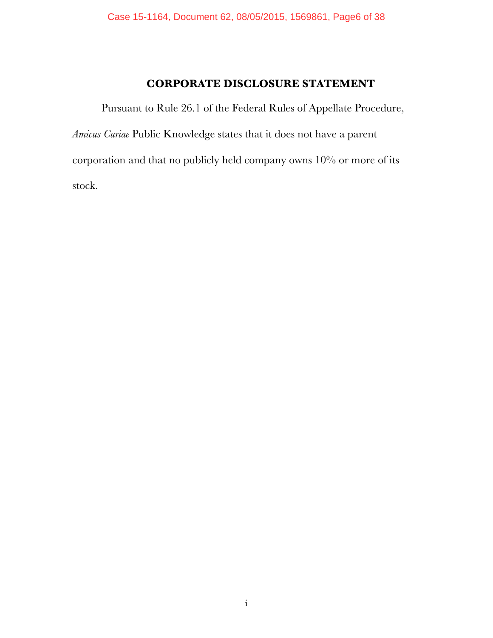# **CORPORATE DISCLOSURE STATEMENT**

Pursuant to Rule 26.1 of the Federal Rules of Appellate Procedure, *Amicus Curiae* Public Knowledge states that it does not have a parent corporation and that no publicly held company owns 10% or more of its stock.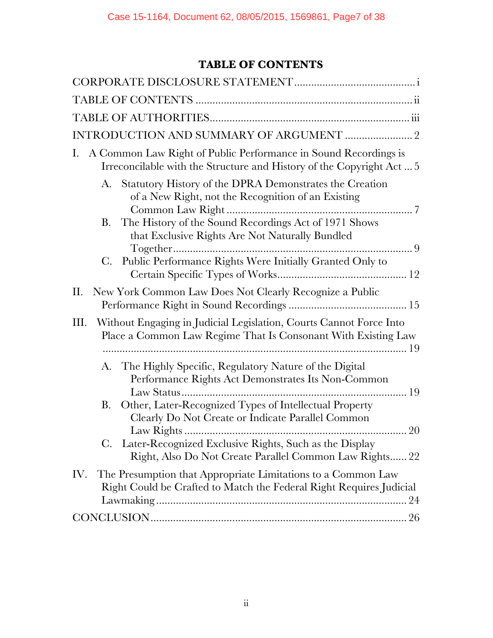# **TABLE OF CONTENTS**

| A Common Law Right of Public Performance in Sound Recordings is<br>Ι.<br>Irreconcilable with the Structure and History of the Copyright Act5 |  |
|----------------------------------------------------------------------------------------------------------------------------------------------|--|
| Statutory History of the DPRA Demonstrates the Creation<br>A.<br>of a New Right, not the Recognition of an Existing                          |  |
| The History of the Sound Recordings Act of 1971 Shows<br>B.<br>that Exclusive Rights Are Not Naturally Bundled                               |  |
| Public Performance Rights Were Initially Granted Only to<br>$\mathbf{C}$ .                                                                   |  |
| New York Common Law Does Not Clearly Recognize a Public<br>П.                                                                                |  |
| Without Engaging in Judicial Legislation, Courts Cannot Force Into<br>Ш.<br>Place a Common Law Regime That Is Consonant With Existing Law    |  |
| The Highly Specific, Regulatory Nature of the Digital<br>A.<br>Performance Rights Act Demonstrates Its Non-Common                            |  |
| Other, Later-Recognized Types of Intellectual Property<br>B.<br>Clearly Do Not Create or Indicate Parallel Common                            |  |
| C. Later-Recognized Exclusive Rights, Such as the Display<br>Right, Also Do Not Create Parallel Common Law Rights 22                         |  |
| The Presumption that Appropriate Limitations to a Common Law<br>IV.<br>Right Could be Crafted to Match the Federal Right Requires Judicial   |  |
|                                                                                                                                              |  |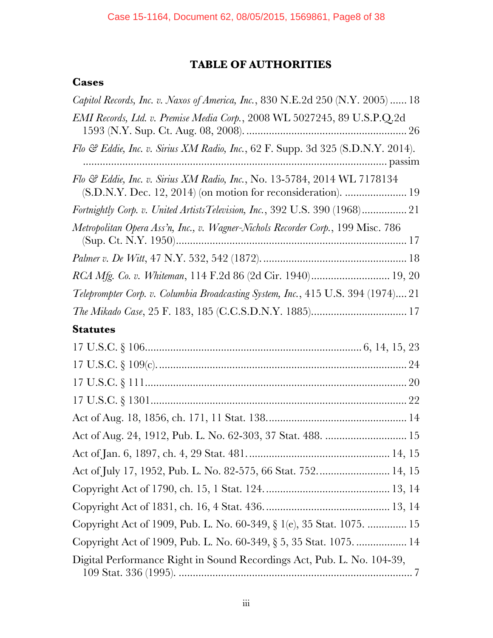# **TABLE OF AUTHORITIES**

# **Cases**

| Capitol Records, Inc. v. Naxos of America, Inc., 830 N.E.2d 250 (N.Y. 2005)  18                                                           |
|-------------------------------------------------------------------------------------------------------------------------------------------|
| EMI Records, Ltd. v. Premise Media Corp., 2008 WL 5027245, 89 U.S.P.Q.2d                                                                  |
| Flo & Eddie, Inc. v. Sirius XM Radio, Inc., 62 F. Supp. 3d 325 (S.D.N.Y. 2014).                                                           |
| Flo & Eddie, Inc. v. Sirius XM Radio, Inc., No. 13-5784, 2014 WL 7178134<br>(S.D.N.Y. Dec. 12, 2014) (on motion for reconsideration).  19 |
| Fortnightly Corp. v. United Artists Television, Inc., 392 U.S. 390 (1968) 21                                                              |
| Metropolitan Opera Ass'n, Inc., v. Wagner-Nichols Recorder Corp., 199 Misc. 786                                                           |
|                                                                                                                                           |
| RCA Mfg. Co. v. Whiteman, 114 F.2d 86 (2d Cir. 1940) 19, 20                                                                               |
| Teleprompter Corp. v. Columbia Broadcasting System, Inc., 415 U.S. 394 (1974) 21                                                          |
|                                                                                                                                           |
| <b>Statutes</b>                                                                                                                           |
|                                                                                                                                           |
|                                                                                                                                           |
|                                                                                                                                           |
|                                                                                                                                           |
|                                                                                                                                           |
|                                                                                                                                           |
|                                                                                                                                           |
|                                                                                                                                           |
|                                                                                                                                           |
|                                                                                                                                           |
| Copyright Act of 1909, Pub. L. No. 60-349, § 1(e), 35 Stat. 1075.  15                                                                     |
| Copyright Act of 1909, Pub. L. No. 60-349, § 5, 35 Stat. 1075.  14                                                                        |
| Digital Performance Right in Sound Recordings Act, Pub. L. No. 104-39,                                                                    |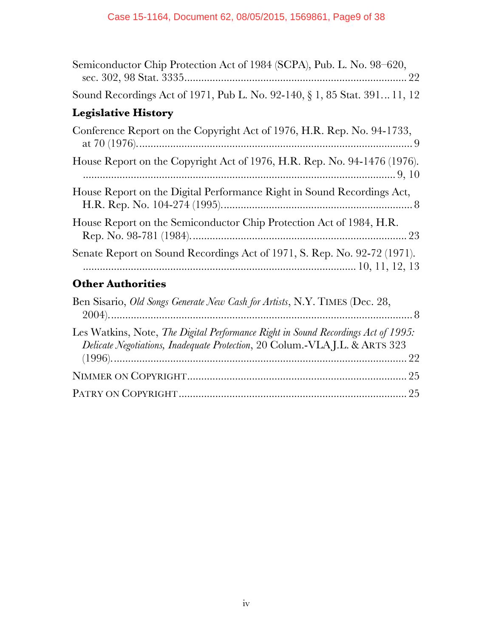| Semiconductor Chip Protection Act of 1984 (SCPA), Pub. L. No. 98–620,                                                                                           |
|-----------------------------------------------------------------------------------------------------------------------------------------------------------------|
| Sound Recordings Act of 1971, Pub L. No. 92-140, § 1, 85 Stat. 391 11, 12                                                                                       |
| <b>Legislative History</b>                                                                                                                                      |
| Conference Report on the Copyright Act of 1976, H.R. Rep. No. 94-1733,                                                                                          |
| House Report on the Copyright Act of 1976, H.R. Rep. No. 94-1476 (1976).                                                                                        |
| House Report on the Digital Performance Right in Sound Recordings Act,                                                                                          |
| House Report on the Semiconductor Chip Protection Act of 1984, H.R.                                                                                             |
| Senate Report on Sound Recordings Act of 1971, S. Rep. No. 92-72 (1971).                                                                                        |
| <b>Other Authorities</b>                                                                                                                                        |
| Ben Sisario, Old Songs Generate New Cash for Artists, N.Y. TIMES (Dec. 28,                                                                                      |
| Les Watkins, Note, The Digital Performance Right in Sound Recordings Act of 1995:<br>Delicate Negotiations, Inadequate Protection, 20 Colum.-VLAJ.L. & ARTS 323 |
|                                                                                                                                                                 |
|                                                                                                                                                                 |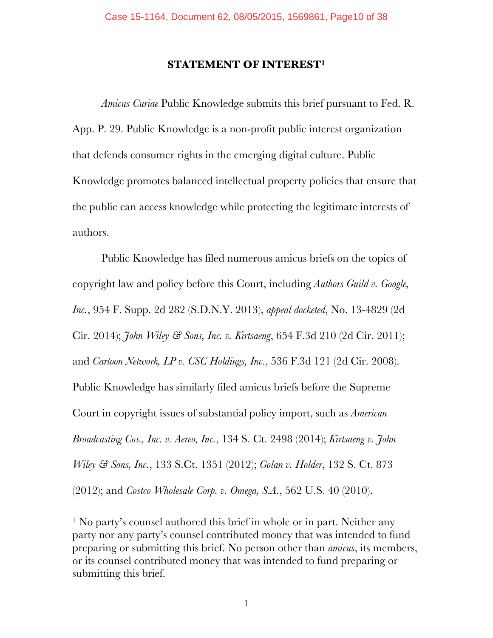#### **STATEMENT OF INTEREST1**

*Amicus Curiae* Public Knowledge submits this brief pursuant to Fed. R. App. P. 29. Public Knowledge is a non-profit public interest organization that defends consumer rights in the emerging digital culture. Public Knowledge promotes balanced intellectual property policies that ensure that the public can access knowledge while protecting the legitimate interests of authors.

Public Knowledge has filed numerous amicus briefs on the topics of copyright law and policy before this Court, including *Authors Guild v. Google, Inc.*, 954 F. Supp. 2d 282 (S.D.N.Y. 2013), *appeal docketed*, No. 13-4829 (2d Cir. 2014); *John Wiley & Sons, Inc. v. Kirtsaeng*, 654 F.3d 210 (2d Cir. 2011); and *Cartoon Network, LP v. CSC Holdings, Inc.*, 536 F.3d 121 (2d Cir. 2008). Public Knowledge has similarly filed amicus briefs before the Supreme Court in copyright issues of substantial policy import, such as *American Broadcasting Cos., Inc. v. Aereo, Inc.*, 134 S. Ct. 2498 (2014); *Kirtsaeng v. John Wiley & Sons, Inc.*, 133 S.Ct. 1351 (2012); *Golan v. Holder*, 132 S. Ct. 873 (2012); and *Costco Wholesale Corp. v. Omega, S.A.*, 562 U.S. 40 (2010).

!!!!!!!!!!!!!!!!!!!!!!!!!!!!!!!!!!!!!!!!!!!!!!!!!!!!!!!

<sup>&</sup>lt;sup>1</sup> No party's counsel authored this brief in whole or in part. Neither any party nor any party's counsel contributed money that was intended to fund preparing or submitting this brief. No person other than *amicus*, its members, or its counsel contributed money that was intended to fund preparing or submitting this brief.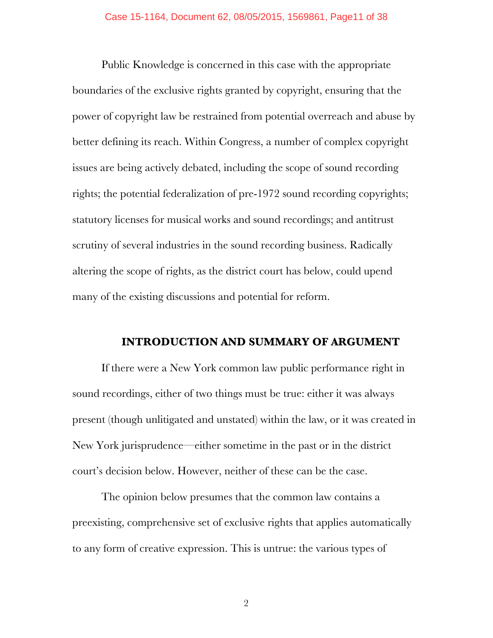Public Knowledge is concerned in this case with the appropriate boundaries of the exclusive rights granted by copyright, ensuring that the power of copyright law be restrained from potential overreach and abuse by better defining its reach. Within Congress, a number of complex copyright issues are being actively debated, including the scope of sound recording rights; the potential federalization of pre-1972 sound recording copyrights; statutory licenses for musical works and sound recordings; and antitrust scrutiny of several industries in the sound recording business. Radically altering the scope of rights, as the district court has below, could upend many of the existing discussions and potential for reform.

#### **INTRODUCTION AND SUMMARY OF ARGUMENT**

If there were a New York common law public performance right in sound recordings, either of two things must be true: either it was always present (though unlitigated and unstated) within the law, or it was created in New York jurisprudence—either sometime in the past or in the district court's decision below. However, neither of these can be the case.

The opinion below presumes that the common law contains a preexisting, comprehensive set of exclusive rights that applies automatically to any form of creative expression. This is untrue: the various types of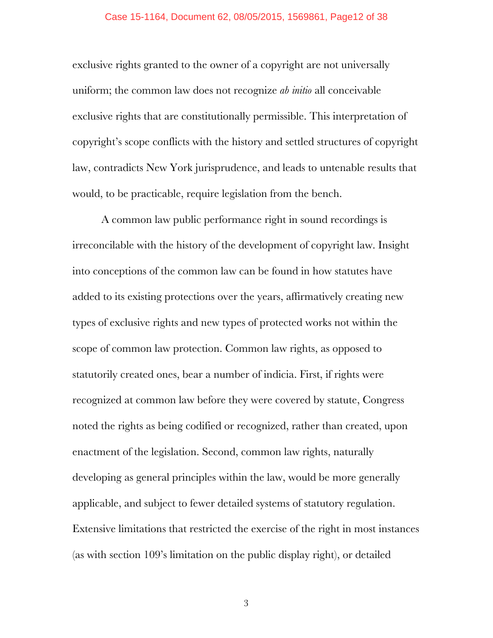#### Case 15-1164, Document 62, 08/05/2015, 1569861, Page12 of 38

exclusive rights granted to the owner of a copyright are not universally uniform; the common law does not recognize *ab initio* all conceivable exclusive rights that are constitutionally permissible. This interpretation of copyright's scope conflicts with the history and settled structures of copyright law, contradicts New York jurisprudence, and leads to untenable results that would, to be practicable, require legislation from the bench.

A common law public performance right in sound recordings is irreconcilable with the history of the development of copyright law. Insight into conceptions of the common law can be found in how statutes have added to its existing protections over the years, affirmatively creating new types of exclusive rights and new types of protected works not within the scope of common law protection. Common law rights, as opposed to statutorily created ones, bear a number of indicia. First, if rights were recognized at common law before they were covered by statute, Congress noted the rights as being codified or recognized, rather than created, upon enactment of the legislation. Second, common law rights, naturally developing as general principles within the law, would be more generally applicable, and subject to fewer detailed systems of statutory regulation. Extensive limitations that restricted the exercise of the right in most instances (as with section 109's limitation on the public display right), or detailed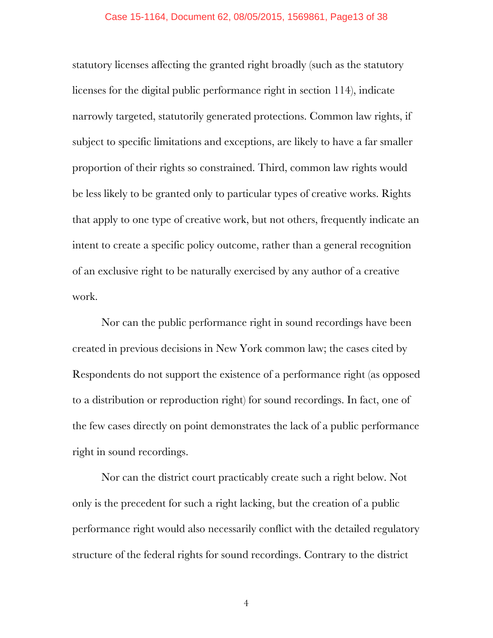statutory licenses affecting the granted right broadly (such as the statutory licenses for the digital public performance right in section 114), indicate narrowly targeted, statutorily generated protections. Common law rights, if subject to specific limitations and exceptions, are likely to have a far smaller proportion of their rights so constrained. Third, common law rights would be less likely to be granted only to particular types of creative works. Rights that apply to one type of creative work, but not others, frequently indicate an intent to create a specific policy outcome, rather than a general recognition of an exclusive right to be naturally exercised by any author of a creative work.

Nor can the public performance right in sound recordings have been created in previous decisions in New York common law; the cases cited by Respondents do not support the existence of a performance right (as opposed to a distribution or reproduction right) for sound recordings. In fact, one of the few cases directly on point demonstrates the lack of a public performance right in sound recordings.

Nor can the district court practicably create such a right below. Not only is the precedent for such a right lacking, but the creation of a public performance right would also necessarily conflict with the detailed regulatory structure of the federal rights for sound recordings. Contrary to the district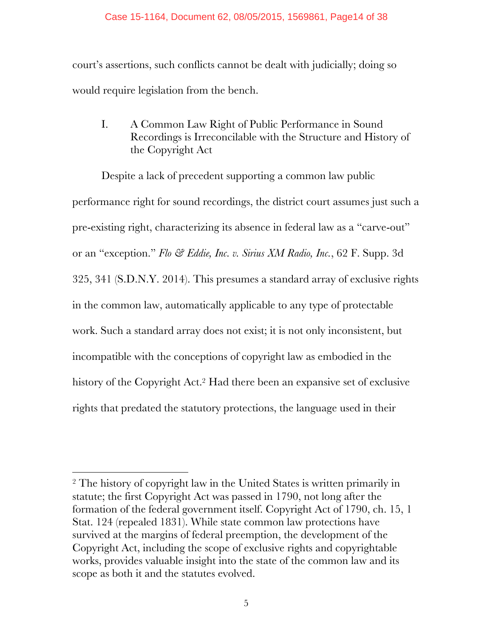court's assertions, such conflicts cannot be dealt with judicially; doing so would require legislation from the bench.

I. A Common Law Right of Public Performance in Sound Recordings is Irreconcilable with the Structure and History of the Copyright Act

Despite a lack of precedent supporting a common law public performance right for sound recordings, the district court assumes just such a pre-existing right, characterizing its absence in federal law as a "carve-out" or an "exception." *Flo & Eddie, Inc. v. Sirius XM Radio, Inc.*, 62 F. Supp. 3d 325, 341 (S.D.N.Y. 2014). This presumes a standard array of exclusive rights in the common law, automatically applicable to any type of protectable work. Such a standard array does not exist; it is not only inconsistent, but incompatible with the conceptions of copyright law as embodied in the history of the Copyright Act.2 Had there been an expansive set of exclusive rights that predated the statutory protections, the language used in their

!!!!!!!!!!!!!!!!!!!!!!!!!!!!!!!!!!!!!!!!!!!!!!!!!!!!!!!

<sup>&</sup>lt;sup>2</sup> The history of copyright law in the United States is written primarily in statute; the first Copyright Act was passed in 1790, not long after the formation of the federal government itself. Copyright Act of 1790, ch. 15, 1 Stat. 124 (repealed 1831). While state common law protections have survived at the margins of federal preemption, the development of the Copyright Act, including the scope of exclusive rights and copyrightable works, provides valuable insight into the state of the common law and its scope as both it and the statutes evolved.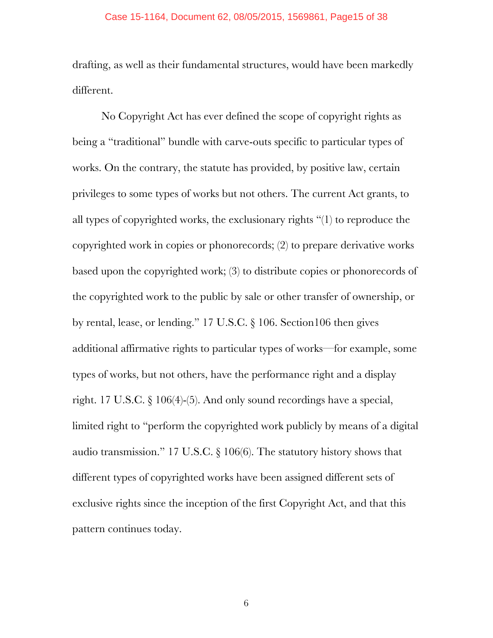drafting, as well as their fundamental structures, would have been markedly different.

No Copyright Act has ever defined the scope of copyright rights as being a "traditional" bundle with carve-outs specific to particular types of works. On the contrary, the statute has provided, by positive law, certain privileges to some types of works but not others. The current Act grants, to all types of copyrighted works, the exclusionary rights "(1) to reproduce the copyrighted work in copies or phonorecords; (2) to prepare derivative works based upon the copyrighted work; (3) to distribute copies or phonorecords of the copyrighted work to the public by sale or other transfer of ownership, or by rental, lease, or lending." 17 U.S.C. § 106. Section106 then gives additional affirmative rights to particular types of works—for example, some types of works, but not others, have the performance right and a display right. 17 U.S.C. § 106(4)-(5). And only sound recordings have a special, limited right to "perform the copyrighted work publicly by means of a digital audio transmission." 17 U.S.C. § 106(6). The statutory history shows that different types of copyrighted works have been assigned different sets of exclusive rights since the inception of the first Copyright Act, and that this pattern continues today.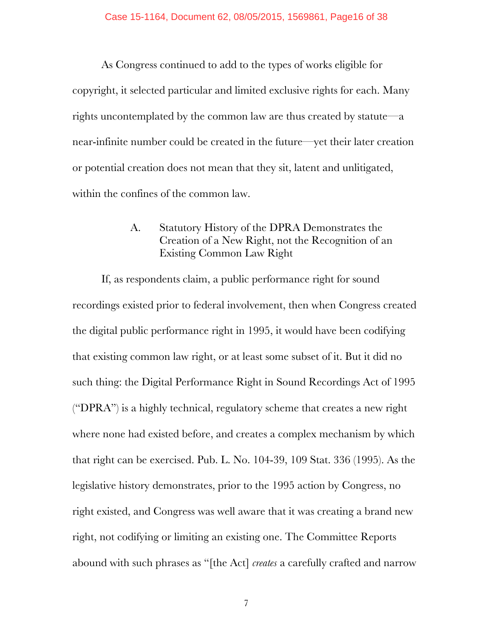As Congress continued to add to the types of works eligible for copyright, it selected particular and limited exclusive rights for each. Many rights uncontemplated by the common law are thus created by statute—a near-infinite number could be created in the future—yet their later creation or potential creation does not mean that they sit, latent and unlitigated, within the confines of the common law.

# A. Statutory History of the DPRA Demonstrates the Creation of a New Right, not the Recognition of an Existing Common Law Right

If, as respondents claim, a public performance right for sound recordings existed prior to federal involvement, then when Congress created the digital public performance right in 1995, it would have been codifying that existing common law right, or at least some subset of it. But it did no such thing: the Digital Performance Right in Sound Recordings Act of 1995 ("DPRA") is a highly technical, regulatory scheme that creates a new right where none had existed before, and creates a complex mechanism by which that right can be exercised. Pub. L. No. 104-39, 109 Stat. 336 (1995). As the legislative history demonstrates, prior to the 1995 action by Congress, no right existed, and Congress was well aware that it was creating a brand new right, not codifying or limiting an existing one. The Committee Reports abound with such phrases as "[the Act] *creates* a carefully crafted and narrow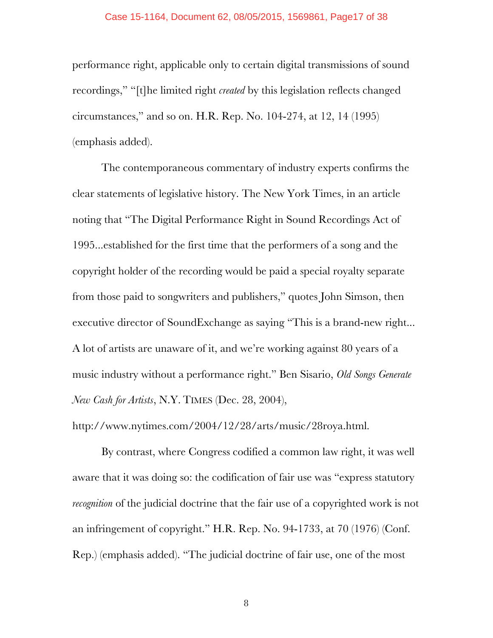#### Case 15-1164, Document 62, 08/05/2015, 1569861, Page17 of 38

performance right, applicable only to certain digital transmissions of sound recordings," "[t]he limited right *created* by this legislation reflects changed circumstances," and so on. H.R. Rep. No. 104-274, at 12, 14 (1995) (emphasis added).

The contemporaneous commentary of industry experts confirms the clear statements of legislative history. The New York Times, in an article noting that "The Digital Performance Right in Sound Recordings Act of 1995...established for the first time that the performers of a song and the copyright holder of the recording would be paid a special royalty separate from those paid to songwriters and publishers," quotes John Simson, then executive director of SoundExchange as saying "This is a brand-new right... A lot of artists are unaware of it, and we're working against 80 years of a music industry without a performance right." Ben Sisario, *Old Songs Generate New Cash for Artists*, N.Y. TIMES (Dec. 28, 2004),

http://www.nytimes.com/2004/12/28/arts/music/28roya.html.

By contrast, where Congress codified a common law right, it was well aware that it was doing so: the codification of fair use was "express statutory *recognition* of the judicial doctrine that the fair use of a copyrighted work is not an infringement of copyright." H.R. Rep. No. 94-1733, at 70 (1976) (Conf. Rep.) (emphasis added). "The judicial doctrine of fair use, one of the most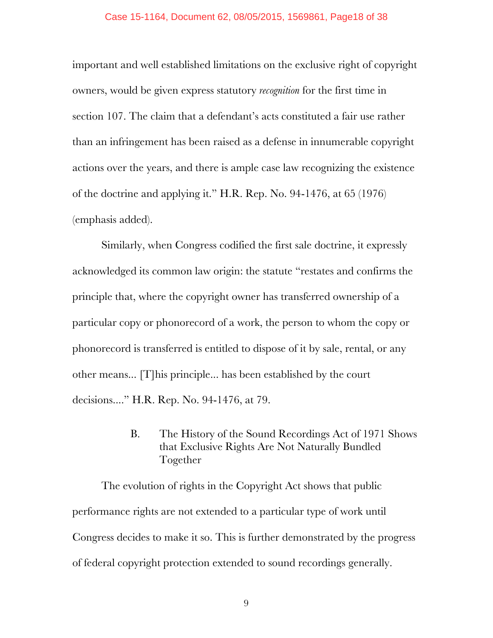#### Case 15-1164, Document 62, 08/05/2015, 1569861, Page18 of 38

important and well established limitations on the exclusive right of copyright owners, would be given express statutory *recognition* for the first time in section 107. The claim that a defendant's acts constituted a fair use rather than an infringement has been raised as a defense in innumerable copyright actions over the years, and there is ample case law recognizing the existence of the doctrine and applying it." H.R. Rep. No. 94-1476, at 65 (1976) (emphasis added).

Similarly, when Congress codified the first sale doctrine, it expressly acknowledged its common law origin: the statute "restates and confirms the principle that, where the copyright owner has transferred ownership of a particular copy or phonorecord of a work, the person to whom the copy or phonorecord is transferred is entitled to dispose of it by sale, rental, or any other means... [T]his principle... has been established by the court decisions...." H.R. Rep. No. 94-1476, at 79.

> B. The History of the Sound Recordings Act of 1971 Shows that Exclusive Rights Are Not Naturally Bundled Together

The evolution of rights in the Copyright Act shows that public performance rights are not extended to a particular type of work until Congress decides to make it so. This is further demonstrated by the progress of federal copyright protection extended to sound recordings generally.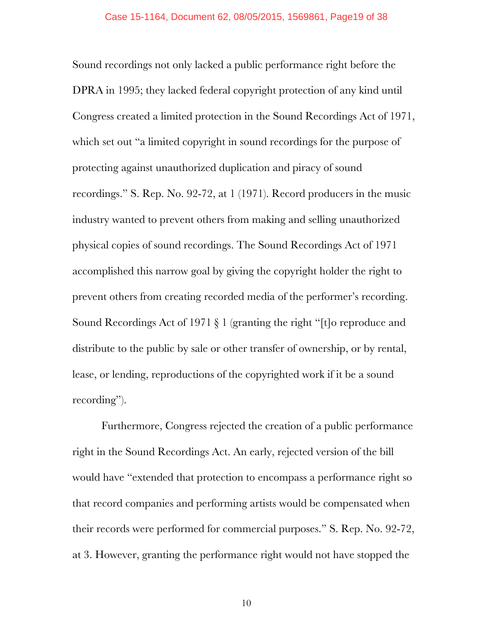Sound recordings not only lacked a public performance right before the DPRA in 1995; they lacked federal copyright protection of any kind until Congress created a limited protection in the Sound Recordings Act of 1971, which set out "a limited copyright in sound recordings for the purpose of protecting against unauthorized duplication and piracy of sound recordings." S. Rep. No. 92-72, at 1 (1971). Record producers in the music industry wanted to prevent others from making and selling unauthorized physical copies of sound recordings. The Sound Recordings Act of 1971 accomplished this narrow goal by giving the copyright holder the right to prevent others from creating recorded media of the performer's recording. Sound Recordings Act of 1971 § 1 (granting the right "[t]o reproduce and distribute to the public by sale or other transfer of ownership, or by rental, lease, or lending, reproductions of the copyrighted work if it be a sound recording").

Furthermore, Congress rejected the creation of a public performance right in the Sound Recordings Act. An early, rejected version of the bill would have "extended that protection to encompass a performance right so that record companies and performing artists would be compensated when their records were performed for commercial purposes." S. Rep. No. 92-72, at 3. However, granting the performance right would not have stopped the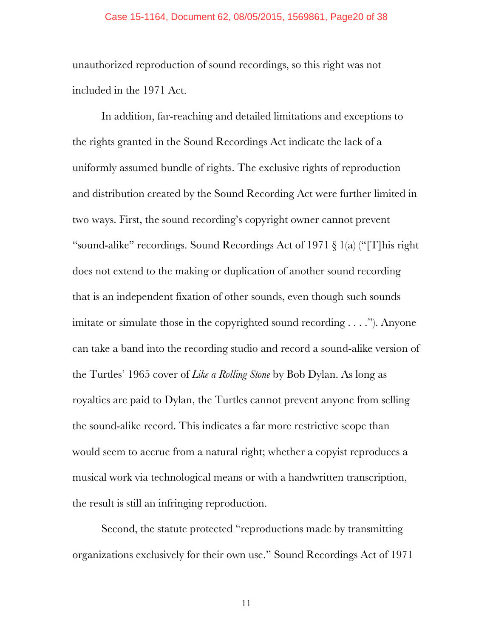#### Case 15-1164, Document 62, 08/05/2015, 1569861, Page20 of 38

unauthorized reproduction of sound recordings, so this right was not included in the 1971 Act.

In addition, far-reaching and detailed limitations and exceptions to the rights granted in the Sound Recordings Act indicate the lack of a uniformly assumed bundle of rights. The exclusive rights of reproduction and distribution created by the Sound Recording Act were further limited in two ways. First, the sound recording's copyright owner cannot prevent "sound-alike" recordings. Sound Recordings Act of 1971 § 1(a) ("[T]his right does not extend to the making or duplication of another sound recording that is an independent fixation of other sounds, even though such sounds imitate or simulate those in the copyrighted sound recording . . . ."). Anyone can take a band into the recording studio and record a sound-alike version of the Turtles' 1965 cover of *Like a Rolling Stone* by Bob Dylan. As long as royalties are paid to Dylan, the Turtles cannot prevent anyone from selling the sound-alike record. This indicates a far more restrictive scope than would seem to accrue from a natural right; whether a copyist reproduces a musical work via technological means or with a handwritten transcription, the result is still an infringing reproduction.

Second, the statute protected "reproductions made by transmitting organizations exclusively for their own use." Sound Recordings Act of 1971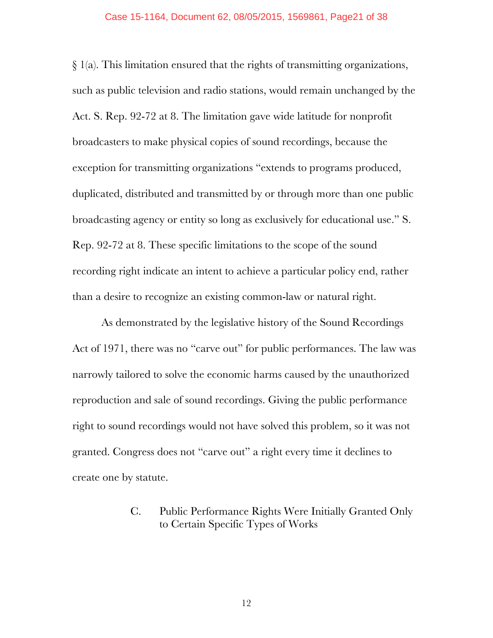§ 1(a). This limitation ensured that the rights of transmitting organizations, such as public television and radio stations, would remain unchanged by the Act. S. Rep. 92-72 at 8. The limitation gave wide latitude for nonprofit broadcasters to make physical copies of sound recordings, because the exception for transmitting organizations "extends to programs produced, duplicated, distributed and transmitted by or through more than one public broadcasting agency or entity so long as exclusively for educational use." S. Rep. 92-72 at 8. These specific limitations to the scope of the sound recording right indicate an intent to achieve a particular policy end, rather than a desire to recognize an existing common-law or natural right.

As demonstrated by the legislative history of the Sound Recordings Act of 1971, there was no "carve out" for public performances. The law was narrowly tailored to solve the economic harms caused by the unauthorized reproduction and sale of sound recordings. Giving the public performance right to sound recordings would not have solved this problem, so it was not granted. Congress does not "carve out" a right every time it declines to create one by statute.

> C. Public Performance Rights Were Initially Granted Only to Certain Specific Types of Works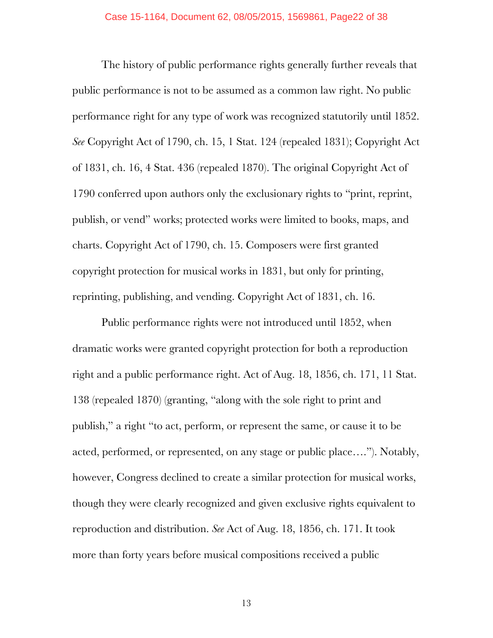The history of public performance rights generally further reveals that public performance is not to be assumed as a common law right. No public performance right for any type of work was recognized statutorily until 1852. *See* Copyright Act of 1790, ch. 15, 1 Stat. 124 (repealed 1831); Copyright Act of 1831, ch. 16, 4 Stat. 436 (repealed 1870). The original Copyright Act of 1790 conferred upon authors only the exclusionary rights to "print, reprint, publish, or vend" works; protected works were limited to books, maps, and charts. Copyright Act of 1790, ch. 15. Composers were first granted copyright protection for musical works in 1831, but only for printing, reprinting, publishing, and vending. Copyright Act of 1831, ch. 16.

Public performance rights were not introduced until 1852, when dramatic works were granted copyright protection for both a reproduction right and a public performance right. Act of Aug. 18, 1856, ch. 171, 11 Stat. 138 (repealed 1870) (granting, "along with the sole right to print and publish," a right "to act, perform, or represent the same, or cause it to be acted, performed, or represented, on any stage or public place…."). Notably, however, Congress declined to create a similar protection for musical works, though they were clearly recognized and given exclusive rights equivalent to reproduction and distribution. *See* Act of Aug. 18, 1856, ch. 171. It took more than forty years before musical compositions received a public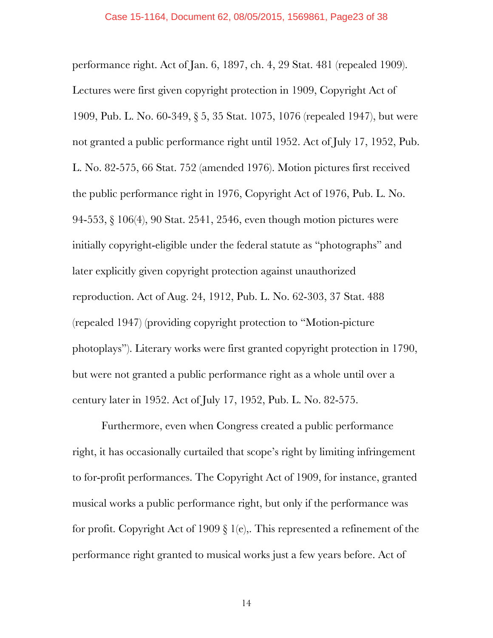performance right. Act of Jan. 6, 1897, ch. 4, 29 Stat. 481 (repealed 1909). Lectures were first given copyright protection in 1909, Copyright Act of 1909, Pub. L. No. 60-349, § 5, 35 Stat. 1075, 1076 (repealed 1947), but were not granted a public performance right until 1952. Act of July 17, 1952, Pub. L. No. 82-575, 66 Stat. 752 (amended 1976). Motion pictures first received the public performance right in 1976, Copyright Act of 1976, Pub. L. No. 94-553, § 106(4), 90 Stat. 2541, 2546, even though motion pictures were initially copyright-eligible under the federal statute as "photographs" and later explicitly given copyright protection against unauthorized reproduction. Act of Aug. 24, 1912, Pub. L. No. 62-303, 37 Stat. 488 (repealed 1947) (providing copyright protection to "Motion-picture photoplays"). Literary works were first granted copyright protection in 1790, but were not granted a public performance right as a whole until over a century later in 1952. Act of July 17, 1952, Pub. L. No. 82-575.

Furthermore, even when Congress created a public performance right, it has occasionally curtailed that scope's right by limiting infringement to for-profit performances. The Copyright Act of 1909, for instance, granted musical works a public performance right, but only if the performance was for profit. Copyright Act of 1909  $\S$  1(e),. This represented a refinement of the performance right granted to musical works just a few years before. Act of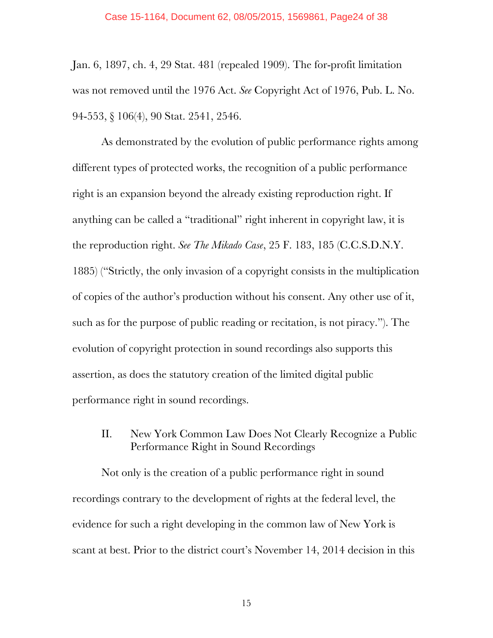Jan. 6, 1897, ch. 4, 29 Stat. 481 (repealed 1909). The for-profit limitation was not removed until the 1976 Act. *See* Copyright Act of 1976, Pub. L. No. 94-553, § 106(4), 90 Stat. 2541, 2546.

As demonstrated by the evolution of public performance rights among different types of protected works, the recognition of a public performance right is an expansion beyond the already existing reproduction right. If anything can be called a "traditional" right inherent in copyright law, it is the reproduction right. *See The Mikado Case*, 25 F. 183, 185 (C.C.S.D.N.Y. 1885) ("Strictly, the only invasion of a copyright consists in the multiplication of copies of the author's production without his consent. Any other use of it, such as for the purpose of public reading or recitation, is not piracy."). The evolution of copyright protection in sound recordings also supports this assertion, as does the statutory creation of the limited digital public performance right in sound recordings.

# II. New York Common Law Does Not Clearly Recognize a Public Performance Right in Sound Recordings

Not only is the creation of a public performance right in sound recordings contrary to the development of rights at the federal level, the evidence for such a right developing in the common law of New York is scant at best. Prior to the district court's November 14, 2014 decision in this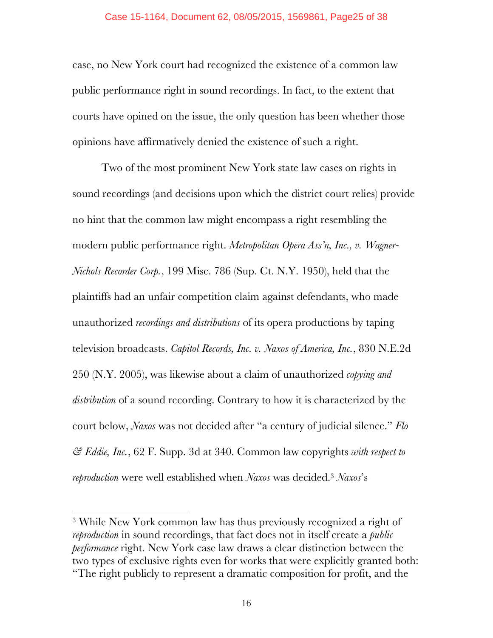case, no New York court had recognized the existence of a common law public performance right in sound recordings. In fact, to the extent that courts have opined on the issue, the only question has been whether those opinions have affirmatively denied the existence of such a right.

Two of the most prominent New York state law cases on rights in sound recordings (and decisions upon which the district court relies) provide no hint that the common law might encompass a right resembling the modern public performance right. *Metropolitan Opera Ass'n, Inc., v. Wagner-Nichols Recorder Corp.*, 199 Misc. 786 (Sup. Ct. N.Y. 1950), held that the plaintiffs had an unfair competition claim against defendants, who made unauthorized *recordings and distributions* of its opera productions by taping television broadcasts. *Capitol Records, Inc. v. Naxos of America, Inc.*, 830 N.E.2d 250 (N.Y. 2005), was likewise about a claim of unauthorized *copying and distribution* of a sound recording. Contrary to how it is characterized by the court below, *Naxos* was not decided after "a century of judicial silence." *Flo & Eddie, Inc.*, 62 F. Supp. 3d at 340. Common law copyrights *with respect to reproduction* were well established when *Naxos* was decided.3 *Naxos*'s

!!!!!!!!!!!!!!!!!!!!!!!!!!!!!!!!!!!!!!!!!!!!!!!!!!!!!!!

<sup>3</sup> While New York common law has thus previously recognized a right of *reproduction* in sound recordings, that fact does not in itself create a *public performance* right. New York case law draws a clear distinction between the two types of exclusive rights even for works that were explicitly granted both: "The right publicly to represent a dramatic composition for profit, and the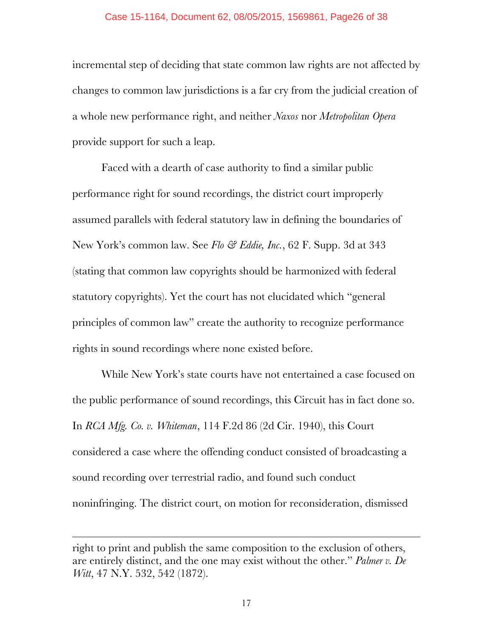#### Case 15-1164, Document 62, 08/05/2015, 1569861, Page26 of 38

incremental step of deciding that state common law rights are not affected by changes to common law jurisdictions is a far cry from the judicial creation of a whole new performance right, and neither *Naxos* nor *Metropolitan Opera*  provide support for such a leap.

Faced with a dearth of case authority to find a similar public performance right for sound recordings, the district court improperly assumed parallels with federal statutory law in defining the boundaries of New York's common law. See *Flo & Eddie, Inc.*, 62 F. Supp. 3d at 343 (stating that common law copyrights should be harmonized with federal statutory copyrights). Yet the court has not elucidated which "general principles of common law" create the authority to recognize performance rights in sound recordings where none existed before.

While New York's state courts have not entertained a case focused on the public performance of sound recordings, this Circuit has in fact done so. In *RCA Mfg. Co. v. Whiteman*, 114 F.2d 86 (2d Cir. 1940), this Court considered a case where the offending conduct consisted of broadcasting a sound recording over terrestrial radio, and found such conduct noninfringing. The district court, on motion for reconsideration, dismissed

!!!!!!!!!!!!!!!!!!!!!!!!!!!!!!!!!!!!!!!!!!!!!!!!!!!!!!!!!!!!!!!!!!!!!!!!!!!!!!!!!!!!!!!!!!!!!!!!!!!!!!!!!!!!!!!!!!!!!!!!!!!!!!!!!!!!!!!!!!!!!!!!!!!!!!!!!!!!!!!!!!!!

right to print and publish the same composition to the exclusion of others, are entirely distinct, and the one may exist without the other." *Palmer v. De Witt*, 47 N.Y. 532, 542 (1872).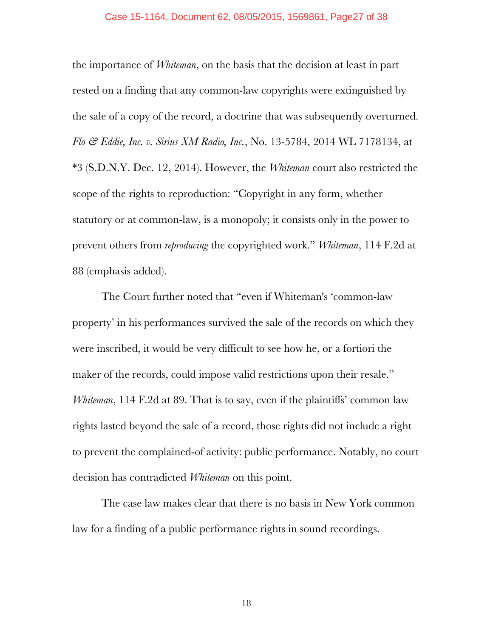#### Case 15-1164, Document 62, 08/05/2015, 1569861, Page27 of 38

the importance of *Whiteman*, on the basis that the decision at least in part rested on a finding that any common-law copyrights were extinguished by the sale of a copy of the record, a doctrine that was subsequently overturned. *Flo & Eddie, Inc. v. Sirius XM Radio, Inc.*, No. 13-5784, 2014 WL 7178134, at \*3 (S.D.N.Y. Dec. 12, 2014). However, the *Whiteman* court also restricted the scope of the rights to reproduction: "Copyright in any form, whether statutory or at common-law, is a monopoly; it consists only in the power to prevent others from *reproducing* the copyrighted work." *Whiteman*, 114 F.2d at 88 (emphasis added).

The Court further noted that "even if Whiteman's 'common-law property' in his performances survived the sale of the records on which they were inscribed, it would be very difficult to see how he, or a fortiori the maker of the records, could impose valid restrictions upon their resale." *Whiteman*, 114 F.2d at 89. That is to say, even if the plaintiffs' common law rights lasted beyond the sale of a record, those rights did not include a right to prevent the complained-of activity: public performance. Notably, no court decision has contradicted *Whiteman* on this point.

The case law makes clear that there is no basis in New York common law for a finding of a public performance rights in sound recordings.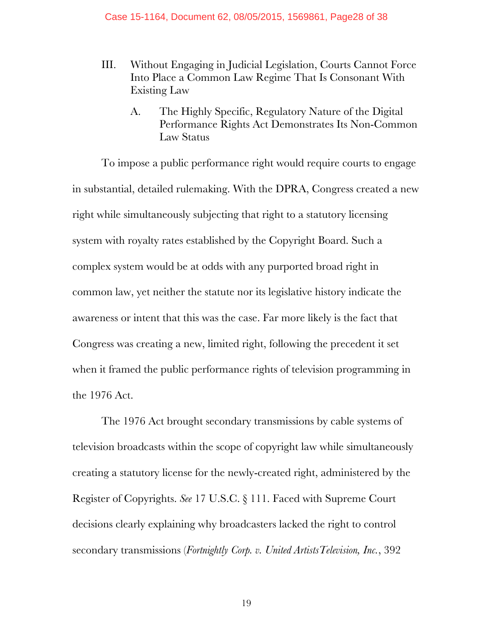- III. Without Engaging in Judicial Legislation, Courts Cannot Force Into Place a Common Law Regime That Is Consonant With Existing Law
	- A. The Highly Specific, Regulatory Nature of the Digital Performance Rights Act Demonstrates Its Non-Common Law Status

To impose a public performance right would require courts to engage in substantial, detailed rulemaking. With the DPRA, Congress created a new right while simultaneously subjecting that right to a statutory licensing system with royalty rates established by the Copyright Board. Such a complex system would be at odds with any purported broad right in common law, yet neither the statute nor its legislative history indicate the awareness or intent that this was the case. Far more likely is the fact that Congress was creating a new, limited right, following the precedent it set when it framed the public performance rights of television programming in the 1976 Act.

The 1976 Act brought secondary transmissions by cable systems of television broadcasts within the scope of copyright law while simultaneously creating a statutory license for the newly-created right, administered by the Register of Copyrights. *See* 17 U.S.C. § 111. Faced with Supreme Court decisions clearly explaining why broadcasters lacked the right to control secondary transmissions (*Fortnightly Corp. v. United ArtistsTelevision, Inc.*, 392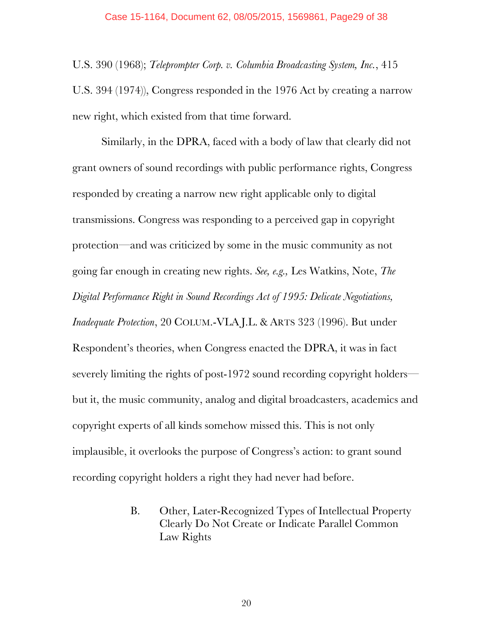U.S. 390 (1968); *Teleprompter Corp. v. Columbia Broadcasting System, Inc.*, 415 U.S. 394 (1974)), Congress responded in the 1976 Act by creating a narrow new right, which existed from that time forward.

Similarly, in the DPRA, faced with a body of law that clearly did not grant owners of sound recordings with public performance rights, Congress responded by creating a narrow new right applicable only to digital transmissions. Congress was responding to a perceived gap in copyright protection—and was criticized by some in the music community as not going far enough in creating new rights. *See, e.g.,* Les Watkins, Note, *The Digital Performance Right in Sound Recordings Act of 1995: Delicate Negotiations, Inadequate Protection*, 20 COLUM.-VLA J.L. & ARTS 323 (1996). But under Respondent's theories, when Congress enacted the DPRA, it was in fact severely limiting the rights of post-1972 sound recording copyright holders but it, the music community, analog and digital broadcasters, academics and copyright experts of all kinds somehow missed this. This is not only implausible, it overlooks the purpose of Congress's action: to grant sound recording copyright holders a right they had never had before.

> B. Other, Later-Recognized Types of Intellectual Property Clearly Do Not Create or Indicate Parallel Common Law Rights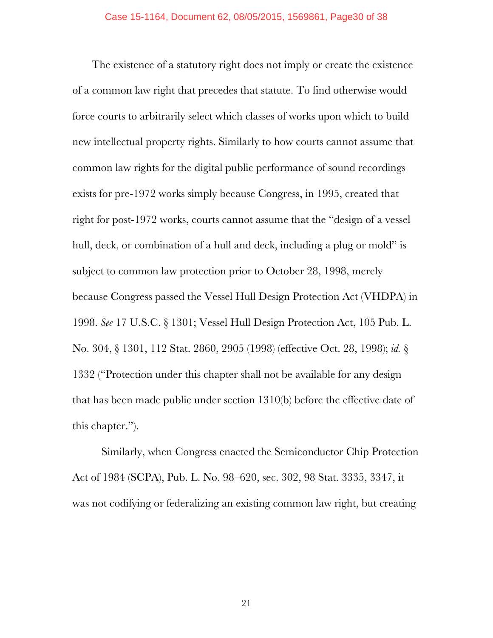The existence of a statutory right does not imply or create the existence of a common law right that precedes that statute. To find otherwise would force courts to arbitrarily select which classes of works upon which to build new intellectual property rights. Similarly to how courts cannot assume that common law rights for the digital public performance of sound recordings exists for pre-1972 works simply because Congress, in 1995, created that right for post-1972 works, courts cannot assume that the "design of a vessel hull, deck, or combination of a hull and deck, including a plug or mold" is subject to common law protection prior to October 28, 1998, merely because Congress passed the Vessel Hull Design Protection Act (VHDPA) in 1998. *See* 17 U.S.C. § 1301; Vessel Hull Design Protection Act, 105 Pub. L. No. 304, § 1301, 112 Stat. 2860, 2905 (1998) (effective Oct. 28, 1998); *id.* § 1332 ("Protection under this chapter shall not be available for any design that has been made public under section 1310(b) before the effective date of this chapter.").

Similarly, when Congress enacted the Semiconductor Chip Protection Act of 1984 (SCPA), Pub. L. No. 98–620, sec. 302, 98 Stat. 3335, 3347, it was not codifying or federalizing an existing common law right, but creating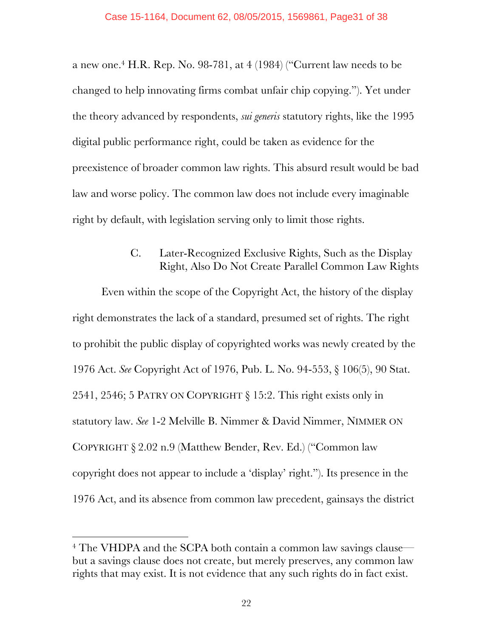a new one.<sup>4</sup> H.R. Rep. No. 98-781, at  $4(1984)$  ("Current law needs to be changed to help innovating firms combat unfair chip copying."). Yet under the theory advanced by respondents, *sui generis* statutory rights, like the 1995 digital public performance right, could be taken as evidence for the preexistence of broader common law rights. This absurd result would be bad law and worse policy. The common law does not include every imaginable right by default, with legislation serving only to limit those rights.

# C. Later-Recognized Exclusive Rights, Such as the Display Right, Also Do Not Create Parallel Common Law Rights

Even within the scope of the Copyright Act, the history of the display right demonstrates the lack of a standard, presumed set of rights. The right to prohibit the public display of copyrighted works was newly created by the 1976 Act. *See* Copyright Act of 1976, Pub. L. No. 94-553, § 106(5), 90 Stat. 2541, 2546; 5 PATRY ON COPYRIGHT § 15:2. This right exists only in statutory law. *See* 1-2 Melville B. Nimmer & David Nimmer, NIMMER ON COPYRIGHT § 2.02 n.9 (Matthew Bender, Rev. Ed.) ("Common law copyright does not appear to include a 'display' right."). Its presence in the 1976 Act, and its absence from common law precedent, gainsays the district

!!!!!!!!!!!!!!!!!!!!!!!!!!!!!!!!!!!!!!!!!!!!!!!!!!!!!!!

<sup>4</sup> The VHDPA and the SCPA both contain a common law savings clause but a savings clause does not create, but merely preserves, any common law rights that may exist. It is not evidence that any such rights do in fact exist.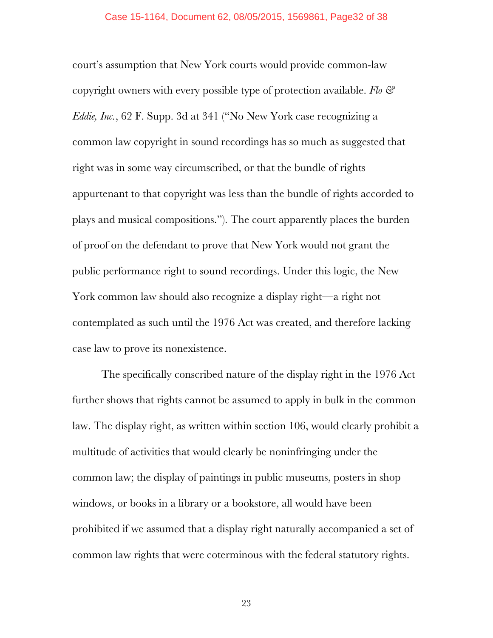court's assumption that New York courts would provide common-law copyright owners with every possible type of protection available. *Flo & Eddie, Inc.*, 62 F. Supp. 3d at 341 ("No New York case recognizing a common law copyright in sound recordings has so much as suggested that right was in some way circumscribed, or that the bundle of rights appurtenant to that copyright was less than the bundle of rights accorded to plays and musical compositions."). The court apparently places the burden of proof on the defendant to prove that New York would not grant the public performance right to sound recordings. Under this logic, the New York common law should also recognize a display right—a right not contemplated as such until the 1976 Act was created, and therefore lacking case law to prove its nonexistence.

The specifically conscribed nature of the display right in the 1976 Act further shows that rights cannot be assumed to apply in bulk in the common law. The display right, as written within section 106, would clearly prohibit a multitude of activities that would clearly be noninfringing under the common law; the display of paintings in public museums, posters in shop windows, or books in a library or a bookstore, all would have been prohibited if we assumed that a display right naturally accompanied a set of common law rights that were coterminous with the federal statutory rights.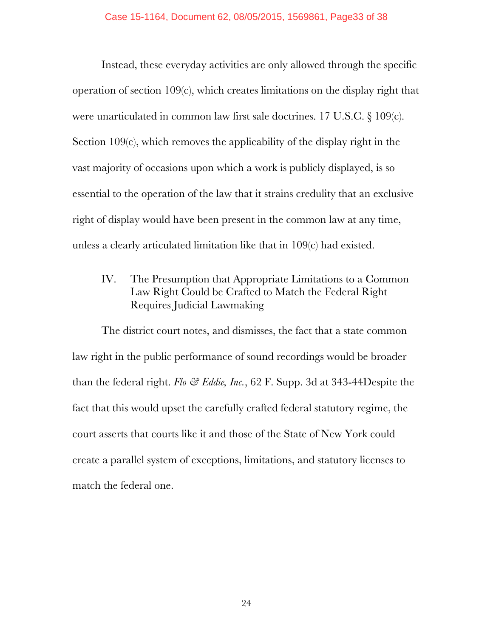Instead, these everyday activities are only allowed through the specific operation of section 109(c), which creates limitations on the display right that were unarticulated in common law first sale doctrines. 17 U.S.C. § 109(c). Section 109(c), which removes the applicability of the display right in the vast majority of occasions upon which a work is publicly displayed, is so essential to the operation of the law that it strains credulity that an exclusive right of display would have been present in the common law at any time, unless a clearly articulated limitation like that in 109(c) had existed.

IV. The Presumption that Appropriate Limitations to a Common Law Right Could be Crafted to Match the Federal Right Requires Judicial Lawmaking

The district court notes, and dismisses, the fact that a state common law right in the public performance of sound recordings would be broader than the federal right. *Flo & Eddie, Inc.*, 62 F. Supp. 3d at 343-44Despite the fact that this would upset the carefully crafted federal statutory regime, the court asserts that courts like it and those of the State of New York could create a parallel system of exceptions, limitations, and statutory licenses to match the federal one.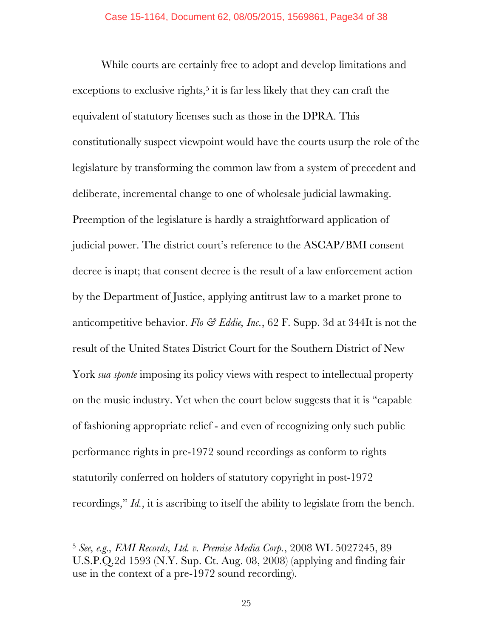While courts are certainly free to adopt and develop limitations and exceptions to exclusive rights,<sup>5</sup> it is far less likely that they can craft the equivalent of statutory licenses such as those in the DPRA. This constitutionally suspect viewpoint would have the courts usurp the role of the legislature by transforming the common law from a system of precedent and deliberate, incremental change to one of wholesale judicial lawmaking. Preemption of the legislature is hardly a straightforward application of judicial power. The district court's reference to the ASCAP/BMI consent decree is inapt; that consent decree is the result of a law enforcement action by the Department of Justice, applying antitrust law to a market prone to anticompetitive behavior. *Flo & Eddie, Inc.*, 62 F. Supp. 3d at 344It is not the result of the United States District Court for the Southern District of New York *sua sponte* imposing its policy views with respect to intellectual property on the music industry. Yet when the court below suggests that it is "capable of fashioning appropriate relief - and even of recognizing only such public performance rights in pre-1972 sound recordings as conform to rights statutorily conferred on holders of statutory copyright in post-1972 recordings," *Id.*, it is ascribing to itself the ability to legislate from the bench.

!!!!!!!!!!!!!!!!!!!!!!!!!!!!!!!!!!!!!!!!!!!!!!!!!!!!!!!

<sup>5</sup> *See, e.g., EMI Records, Ltd. v. Premise Media Corp.*, 2008 WL 5027245, 89 U.S.P.Q.2d 1593 (N.Y. Sup. Ct. Aug. 08, 2008) (applying and finding fair use in the context of a pre-1972 sound recording).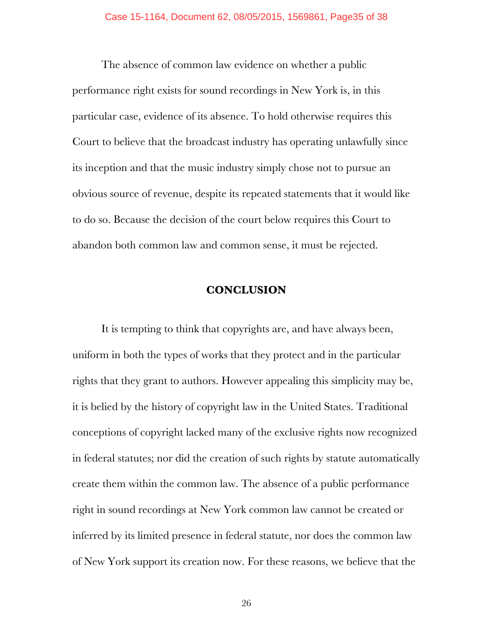The absence of common law evidence on whether a public performance right exists for sound recordings in New York is, in this particular case, evidence of its absence. To hold otherwise requires this Court to believe that the broadcast industry has operating unlawfully since its inception and that the music industry simply chose not to pursue an obvious source of revenue, despite its repeated statements that it would like to do so. Because the decision of the court below requires this Court to abandon both common law and common sense, it must be rejected.

### **CONCLUSION**

It is tempting to think that copyrights are, and have always been, uniform in both the types of works that they protect and in the particular rights that they grant to authors. However appealing this simplicity may be, it is belied by the history of copyright law in the United States. Traditional conceptions of copyright lacked many of the exclusive rights now recognized in federal statutes; nor did the creation of such rights by statute automatically create them within the common law. The absence of a public performance right in sound recordings at New York common law cannot be created or inferred by its limited presence in federal statute, nor does the common law of New York support its creation now. For these reasons, we believe that the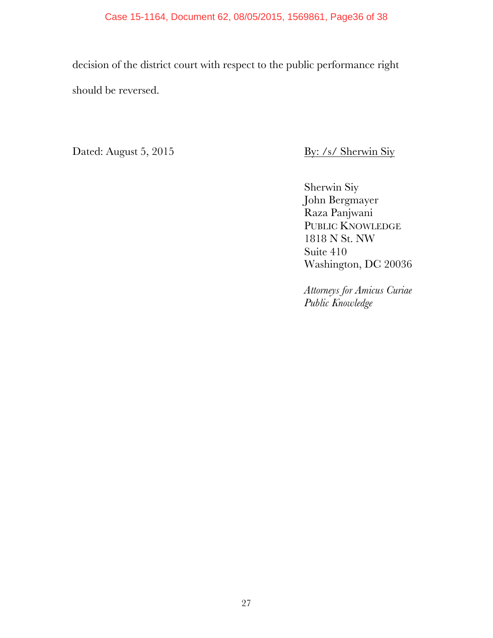#### Case 15-1164, Document 62, 08/05/2015, 1569861, Page36 of 38

decision of the district court with respect to the public performance right should be reversed.

Dated: August 5, 2015 By: /s/ Sherwin Siy

Sherwin Siy John Bergmayer Raza Panjwani PUBLIC KNOWLEDGE 1818 N St. NW Suite 410 Washington, DC 20036

*Attorneys for Amicus Curiae Public Knowledge*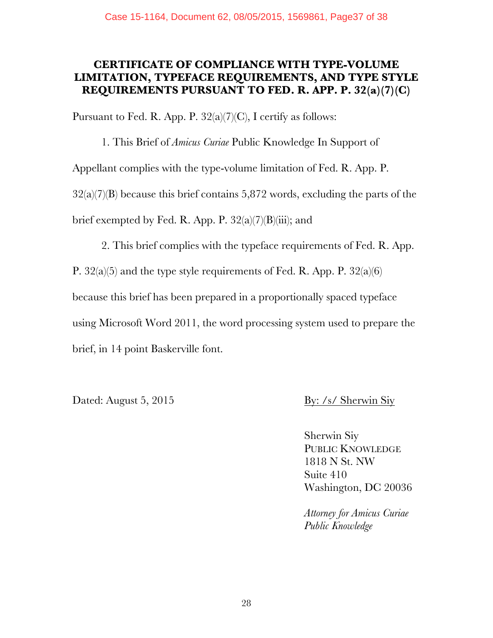# **CERTIFICATE OF COMPLIANCE WITH TYPE-VOLUME LIMITATION, TYPEFACE REQUIREMENTS, AND TYPE STYLE REQUIREMENTS PURSUANT TO FED. R. APP. P. 32(a)(7)(C)**

Pursuant to Fed. R. App. P.  $32(a)(7)(C)$ , I certify as follows:

1. This Brief of *Amicus Curiae* Public Knowledge In Support of Appellant complies with the type-volume limitation of Fed. R. App. P.  $32(a)(7)(B)$  because this brief contains 5,872 words, excluding the parts of the brief exempted by Fed. R. App. P.  $32(a)(7)(B)(iii)$ ; and

2. This brief complies with the typeface requirements of Fed. R. App.

P. 32(a)(5) and the type style requirements of Fed. R. App. P. 32(a)(6)

because this brief has been prepared in a proportionally spaced typeface

using Microsoft Word 2011, the word processing system used to prepare the brief, in 14 point Baskerville font.

Dated: August 5, 2015 By: /s/ Sherwin Siy

Sherwin Siy PUBLIC KNOWLEDGE 1818 N St. NW Suite 410 Washington, DC 20036

*Attorney for Amicus Curiae Public Knowledge*